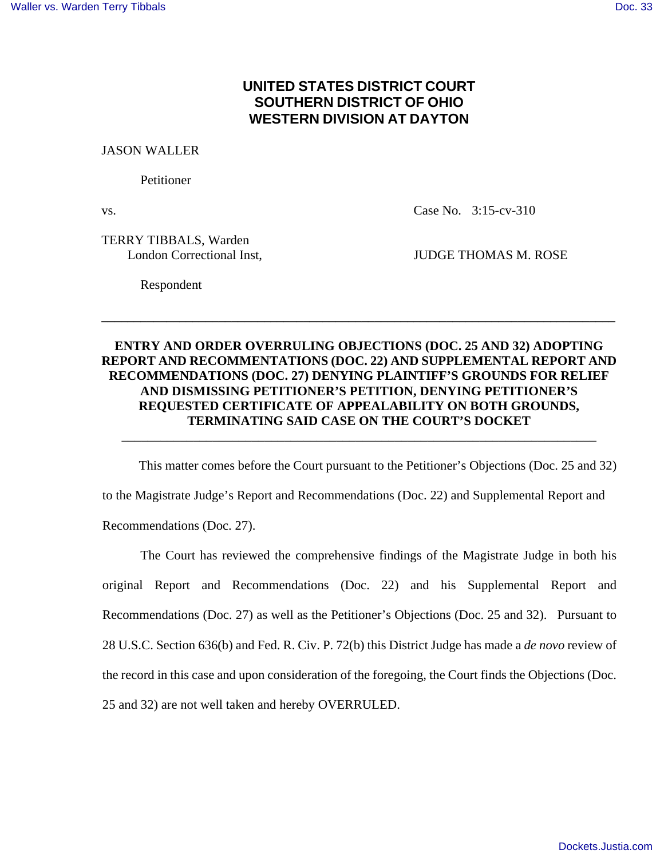## **UNITED STATES DISTRICT COURT SOUTHERN DISTRICT OF OHIO WESTERN DIVISION AT DAYTON**

JASON WALLER

Petitioner

vs. Case No. 3:15-cv-310

TERRY TIBBALS, Warden

London Correctional Inst, JUDGE THOMAS M. ROSE

Respondent

## **ENTRY AND ORDER OVERRULING OBJECTIONS (DOC. 25 AND 32) ADOPTING REPORT AND RECOMMENTATIONS (DOC. 22) AND SUPPLEMENTAL REPORT AND RECOMMENDATIONS (DOC. 27) DENYING PLAINTIFF'S GROUNDS FOR RELIEF AND DISMISSING PETITIONER'S PETITION, DENYING PETITIONER'S REQUESTED CERTIFICATE OF APPEALABILITY ON BOTH GROUNDS, TERMINATING SAID CASE ON THE COURT'S DOCKET**

**\_\_\_\_\_\_\_\_\_\_\_\_\_\_\_\_\_\_\_\_\_\_\_\_\_\_\_\_\_\_\_\_\_\_\_\_\_\_\_\_\_\_\_\_\_\_\_\_\_\_\_\_\_\_\_\_\_\_\_\_\_\_\_\_\_\_\_\_\_\_\_\_\_\_\_\_\_\_\_** 

 This matter comes before the Court pursuant to the Petitioner's Objections (Doc. 25 and 32) to the Magistrate Judge's Report and Recommendations (Doc. 22) and Supplemental Report and Recommendations (Doc. 27).

\_\_\_\_\_\_\_\_\_\_\_\_\_\_\_\_\_\_\_\_\_\_\_\_\_\_\_\_\_\_\_\_\_\_\_\_\_\_\_\_\_\_\_\_\_\_\_\_\_\_\_\_\_\_\_\_\_\_\_\_\_\_\_\_\_\_\_\_\_\_\_\_\_

The Court has reviewed the comprehensive findings of the Magistrate Judge in both his original Report and Recommendations (Doc. 22) and his Supplemental Report and Recommendations (Doc. 27) as well as the Petitioner's Objections (Doc. 25 and 32). Pursuant to 28 U.S.C. Section 636(b) and Fed. R. Civ. P. 72(b) this District Judge has made a *de novo* review of the record in this case and upon consideration of the foregoing, the Court finds the Objections (Doc. 25 and 32) are not well taken and hereby OVERRULED.